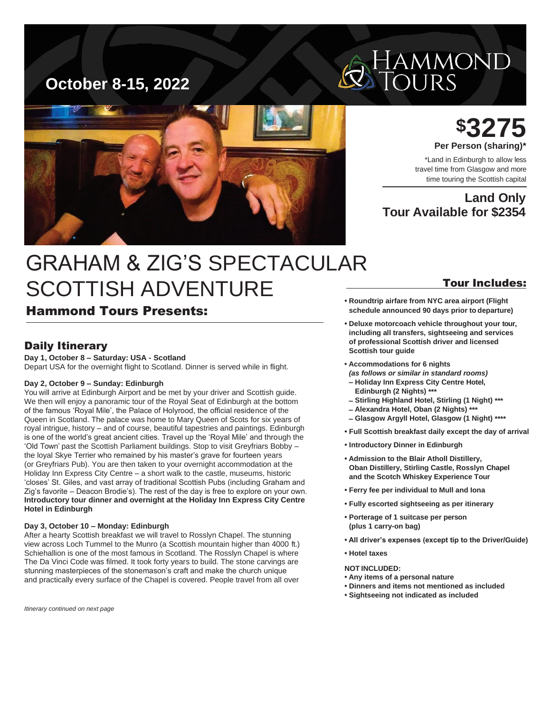## **October 8-15, 2022**



# **3275 \$ Per Person (sharing)\***

Tour Includes:

\*Land in Edinburgh to allow less travel time from Glasgow and more time touring the Scottish capital

**MMOND** 

## **Land Only Tour Available for \$2354**

# GRAHAM & ZIG'S SPECTACULAR SCOTTISH ADVENTURE

## Hammond Tours Presents:

## Daily Itinerary

**Day 1, October 8 – Saturday: USA - Scotland** Depart USA for the overnight flight to Scotland. Dinner is served while in flight.

#### **Day 2, October 9 – Sunday: Edinburgh**

You will arrive at Edinburgh Airport and be met by your driver and Scottish guide. We then will enjoy a panoramic tour of the Royal Seat of Edinburgh at the bottom of the famous 'Royal Mile', the Palace of Holyrood, the official residence of the Queen in Scotland. The palace was home to Mary Queen of Scots for six years of royal intrigue, history – and of course, beautiful tapestries and paintings. Edinburgh is one of the world's great ancient cities. Travel up the 'Royal Mile' and through the 'Old Town' past the Scottish Parliament buildings. Stop to visit Greyfriars Bobby – the loyal Skye Terrier who remained by his master's grave for fourteen years (or Greyfriars Pub). You are then taken to your overnight accommodation at the Holiday Inn Express City Centre – a short walk to the castle, museums, historic 'closes' St. Giles, and vast array of traditional Scottish Pubs (including Graham and Zig's favorite – Deacon Brodie's). The rest of the day is free to explore on your own. **Introductory tour dinner and overnight at the Holiday Inn Express City Centre Hotel in Edinburgh**

#### **Day 3, October 10 – Monday: Edinburgh**

After a hearty Scottish breakfast we will travel to Rosslyn Chapel. The stunning view across Loch Tummel to the Munro (a Scottish mountain higher than 4000 ft.) Schiehallion is one of the most famous in Scotland. The Rosslyn Chapel is where The Da Vinci Code was filmed. It took forty years to build. The stone carvings are stunning masterpieces of the stonemason's craft and make the church unique and practically every surface of the Chapel is covered. People travel from all over

*Itinerary continued on next page*

- **• Roundtrip airfare from NYC area airport (Flight schedule announced 90 days prior to departure)**
- **• Deluxe motorcoach vehicle throughout your tour, including all transfers, sightseeing and services of professional Scottish driver and licensed Scottish tour guide**
- **• Accommodations for 6 nights**
- *(as follows or similar in standard rooms)*
- **– Holiday Inn Express City Centre Hotel, Edinburgh (2 Nights) \*\*\***
- **– Stirling Highland Hotel, Stirling (1 Night) \*\*\***
- **– Alexandra Hotel, Oban (2 Nights) \*\*\***
- **– Glasgow Argyll Hotel, Glasgow (1 Night) \*\*\*\***
- **• Full Scottish breakfast daily except the day of arrival**
- **• Introductory Dinner in Edinburgh**
- **• Admission to the Blair Atholl Distillery, Oban Distillery, Stirling Castle, Rosslyn Chapel and the Scotch Whiskey Experience Tour**
- **• Ferry fee per individual to Mull and Iona**
- **• Fully escorted sightseeing as per itinerary**
- **• Porterage of 1 suitcase per person (plus 1 carry-on bag)**
- **• All driver's expenses (except tip to the Driver/Guide)**
- **• Hotel taxes**

**NOT INCLUDED:**

- **• Any items of a personal nature**
- **• Dinners and items not mentioned as included**
- **• Sightseeing not indicated as included**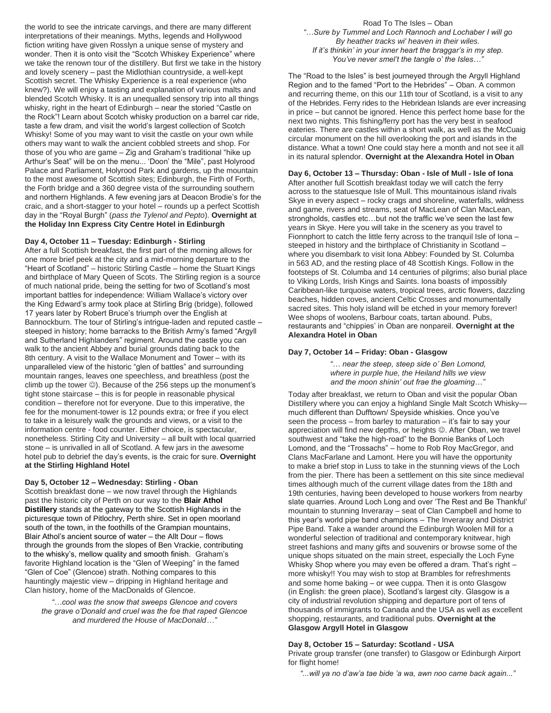the world to see the intricate carvings, and there are many different interpretations of their meanings. Myths, legends and Hollywood fiction writing have given Rosslyn a unique sense of mystery and wonder. Then it is onto visit the "Scotch Whiskey Experience" where we take the renown tour of the distillery. But first we take in the history and lovely scenery – past the Midlothian countryside, a well-kept Scottish secret. The Whisky Experience is a real experience (who knew?). We will enjoy a tasting and explanation of various malts and blended Scotch Whisky. It is an unequalled sensory trip into all things whisky, right in the heart of Edinburgh – near the storied "Castle on the Rock"! Learn about Scotch whisky production on a barrel car ride, taste a few dram, and visit the world's largest collection of Scotch Whisky! Some of you may want to visit the castle on your own while others may want to walk the ancient cobbled streets and shop. For those of you who are game – Zig and Graham's traditional "hike up Arthur's Seat" will be on the menu... 'Doon' the "Mile", past Holyrood Palace and Parliament, Holyrood Park and gardens, up the mountain to the most awesome of Scottish sites; Edinburgh, the Firth of Forth, the Forth bridge and a 360 degree vista of the surrounding southern and northern Highlands. A few evening jars at Deacon Brodie's for the craic, and a short-stagger to your hotel – rounds up a perfect Scottish day in the "Royal Burgh" (*pass the Tylenol and Pepto*). **Overnight at the Holiday Inn Express City Centre Hotel in Edinburgh**

#### **Day 4, October 11 – Tuesday: Edinburgh - Stirling**

After a full Scottish breakfast, the first part of the morning allows for one more brief peek at the city and a mid-morning departure to the "Heart of Scotland" – historic Stirling Castle – home the Stuart Kings and birthplace of Mary Queen of Scots. The Stirling region is a source of much national pride, being the setting for two of Scotland's most important battles for independence: William Wallace's victory over the King Edward's army took place at Stirling Brig (bridge), followed 17 years later by Robert Bruce's triumph over the English at Bannockburn. The tour of Stirling's intrigue-laden and reputed castle – steeped in history; home barracks to the British Army's famed "Argyll and Sutherland Highlanders" regiment. Around the castle you can walk to the ancient Abbey and burial grounds dating back to the 8th century. A visit to the Wallace Monument and Tower – with its unparalleled view of the historic "glen of battles" and surrounding mountain ranges, leaves one speechless, and breathless (post the climb up the tower ☺). Because of the 256 steps up the monument's tight stone staircase – this is for people in reasonable physical condition – therefore not for everyone. Due to this imperative, the fee for the monument-tower is 12 pounds extra; or free if you elect to take in a leisurely walk the grounds and views, or a visit to the information centre - food counter. Either choice, is spectacular, nonetheless. Stirling City and University – all built with local quarried stone – is unrivalled in all of Scotland. A few jars in the awesome hotel pub to debrief the day's events, is the craic for sure. **Overnight at the Stirling Highland Hotel**

#### **Day 5, October 12 – Wednesday: Stirling - Oban**

Scottish breakfast done – we now travel through the Highlands past the historic city of Perth on our way to the **Blair Athol Distillery** stands at the gateway to the Scottish Highlands in the picturesque town of Pitlochry, Perth shire. Set in open moorland south of the town, in the foothills of the Grampian mountains, Blair Athol's ancient source of water – the Allt Dour – flows through the grounds from the slopes of Ben Vrackie, contributing to the whisky's, mellow quality and smooth finish. Graham's favorite Highland location is the "Glen of Weeping" in the famed "Glen of Coe" (Glencoe) strath. Nothing compares to this hauntingly majestic view – dripping in Highland heritage and Clan history, home of the MacDonalds of Glencoe.

*"…cool was the snow that sweeps Glencoe and covers the grave o'Donald and cruel was the foe that raped Glencoe and murdered the House of MacDonald…"*

#### Road To The Isles – Oban

*"…Sure by Tummel and Loch Rannoch and Lochaber I will go By heather tracks wi' heaven in their wiles. If it's thinkin' in your inner heart the braggar's in my step. You've never smel't the tangle o' the Isles…"*

The "Road to the Isles" is best journeyed through the Argyll Highland Region and to the famed "Port to the Hebrides" – Oban. A common and recurring theme, on this our 11th tour of Scotland, is a visit to any of the Hebrides. Ferry rides to the Hebridean Islands are ever increasing in price – but cannot be ignored. Hence this perfect home base for the next two nights. This fishing/ferry port has the very best in seafood eateries. There are castles within a short walk, as well as the McCuaig circular monument on the hill overlooking the port and islands in the distance. What a town! One could stay here a month and not see it all in its natural splendor. **Overnight at the Alexandra Hotel in Oban**

#### **Day 6, October 13 – Thursday: Oban - Isle of Mull - Isle of Iona**

After another full Scottish breakfast today we will catch the ferry across to the statuesque Isle of Mull. This mountainous island rivals Skye in every aspect – rocky crags and shoreline, waterfalls, wildness and game, rivers and streams, seat of MacLean of Clan MacLean, strongholds, castles etc…but not the traffic we've seen the last few years in Skye. Here you will take in the scenery as you travel to Fionnphort to catch the little ferry across to the tranquil Isle of Iona – steeped in history and the birthplace of Christianity in Scotland – where you disembark to visit Iona Abbey: Founded by St. Columba in 563 AD, and the resting place of 48 Scottish Kings. Follow in the footsteps of St. Columba and 14 centuries of pilgrims; also burial place to Viking Lords, Irish Kings and Saints. Iona boasts of impossibly Caribbean-like turquoise waters, tropical trees, arctic flowers, dazzling beaches, hidden coves, ancient Celtic Crosses and monumentally sacred sites. This holy island will be etched in your memory forever! Wee shops of woolens, Barbour coats, tartan abound. Pubs, restaurants and "chippies' in Oban are nonpareil. **Overnight at the Alexandra Hotel in Oban**

#### **Day 7, October 14 – Friday: Oban - Glasgow**

*"… near the steep, steep side o' Ben Lomond, where in purple hue, the Heiland hills we view and the moon shinin' out frae the gloaming…"*

Today after breakfast, we return to Oban and visit the popular Oban Distillery where you can enjoy a highland Single Malt Scotch Whisky much different than Dufftown/ Speyside whiskies. Once you've seen the process – from barley to maturation – it's fair to say your appreciation will find new depths, or heights  $\odot$ . After Oban, we travel southwest and "take the high-road" to the Bonnie Banks of Loch Lomond, and the "Trossachs" – home to Rob Roy MacGregor, and Clans MacFarlane and Lamont. Here you will have the opportunity to make a brief stop in Luss to take in the stunning views of the Loch from the pier. There has been a settlement on this site since medieval times although much of the current village dates from the 18th and 19th centuries, having been developed to house workers from nearby slate quarries. Around Loch Long and over 'The Rest and Be Thankful' mountain to stunning Inveraray – seat of Clan Campbell and home to this year's world pipe band champions – The Inveraray and District Pipe Band. Take a wander around the Edinburgh Woolen Mill for a wonderful selection of traditional and contemporary knitwear, high street fashions and many gifts and souvenirs or browse some of the unique shops situated on the main street, especially the Loch Fyne Whisky Shop where you may even be offered a dram. That's right more whisky!! You may wish to stop at Brambles for refreshments and some home baking – or wee cuppa. Then it is onto Glasgow (in English: the green place), Scotland's largest city. Glasgow is a city of industrial revolution shipping and departure port of tens of thousands of immigrants to Canada and the USA as well as excellent shopping, restaurants, and traditional pubs. **Overnight at the Glasgow Argyll Hotel in Glasgow**

#### **Day 8, October 15 – Saturday: Scotland - USA**

Private group transfer (one transfer) to Glasgow or Edinburgh Airport for flight home!

*"...will ya no d'aw'a tae bide 'a wa, awn noo came back again..."*